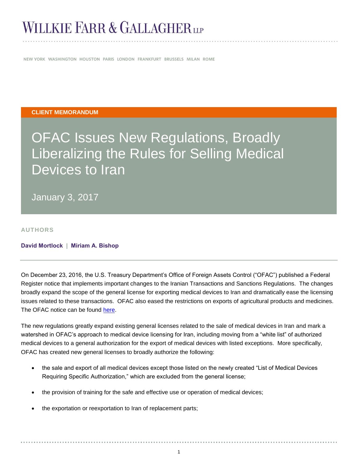# WILLKIE FARR & GALLAGHER LLP

NEW YORK WASHINGTON HOUSTON PARIS LONDON FRANKFURT BRUSSELS MILAN ROME

#### **CLIENT MEMORANDUM**

# OFAC Issues New Regulations, Broadly Liberalizing the Rules for Selling Medical Devices to Iran

January 3, 2017

**AUTHORS**

### **[David Mortlock](http://www.willkie.com/professionals/m/mortlock-david) | [Miriam A. Bishop](http://www.willkie.com/professionals/b/bishop-miriam-a)**

On December 23, 2016, the U.S. Treasury Department's Office of Foreign Assets Control ("OFAC") published a Federal Register notice that implements important changes to the Iranian Transactions and Sanctions Regulations. The changes broadly expand the scope of the general license for exporting medical devices to Iran and dramatically ease the licensing issues related to these transactions. OFAC also eased the restrictions on exports of agricultural products and medicines. The OFAC notice can be found [here.](https://www.gpo.gov/fdsys/pkg/FR-2016-12-23/pdf/2016-30968.pdf)

The new regulations greatly expand existing general licenses related to the sale of medical devices in Iran and mark a watershed in OFAC's approach to medical device licensing for Iran, including moving from a "white list" of authorized medical devices to a general authorization for the export of medical devices with listed exceptions. More specifically, OFAC has created new general licenses to broadly authorize the following:

- the sale and export of all medical devices except those listed on the newly created "List of Medical Devices Requiring Specific Authorization," which are excluded from the general license;
- the provision of training for the safe and effective use or operation of medical devices;
- the exportation or reexportation to Iran of replacement parts;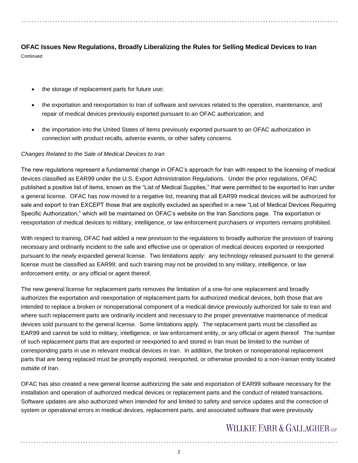### **OFAC Issues New Regulations, Broadly Liberalizing the Rules for Selling Medical Devices to Iran Continued**

- the storage of replacement parts for future use;
- the exportation and reexportation to Iran of software and services related to the operation, maintenance, and repair of medical devices previously exported pursuant to an OFAC authorization; and
- the importation into the United States of items previously exported pursuant to an OFAC authorization in connection with product recalls, adverse events, or other safety concerns.

### *Changes Related to the Sale of Medical Devices to Iran*

The new regulations represent a fundamental change in OFAC's approach for Iran with respect to the licensing of medical devices classified as EAR99 under the U.S. Export Administration Regulations. Under the prior regulations, OFAC published a positive list of items, known as the "List of Medical Supplies," that were permitted to be exported to Iran under a general license. OFAC has now moved to a negative list, meaning that all EAR99 medical devices will be authorized for sale and export to Iran EXCEPT those that are explicitly excluded as specified in a new "List of Medical Devices Requiring Specific Authorization," which will be maintained on OFAC's website on the Iran Sanctions page. The exportation or reexportation of medical devices to military, intelligence, or law enforcement purchasers or importers remains prohibited.

With respect to training, OFAC had added a new provision to the regulations to broadly authorize the provision of training necessary and ordinarily incident to the safe and effective use or operation of medical devices exported or reexported pursuant to the newly expanded general license. Two limitations apply: any technology released pursuant to the general license must be classified as EAR99; and such training may not be provided to any military, intelligence, or law enforcement entity, or any official or agent thereof.

The new general license for replacement parts removes the limitation of a one-for-one replacement and broadly authorizes the exportation and reexportation of replacement parts for authorized medical devices, both those that are intended to replace a broken or nonoperational component of a medical device previously authorized for sale to Iran and where such replacement parts are ordinarily incident and necessary to the proper preventative maintenance of medical devices sold pursuant to the general license. Some limitations apply. The replacement parts must be classified as EAR99 and cannot be sold to military, intelligence, or law enforcement entity, or any official or agent thereof. The number of such replacement parts that are exported or reexported to and stored in Iran must be limited to the number of corresponding parts in use in relevant medical devices in Iran. In addition, the broken or nonoperational replacement parts that are being replaced must be promptly exported, reexported, or otherwise provided to a non-Iranian entity located outside of Iran.

OFAC has also created a new general license authorizing the sale and exportation of EAR99 software necessary for the installation and operation of authorized medical devices or replacement parts and the conduct of related transactions. Software updates are also authorized when intended for and limited to safety and service updates and the correction of system or operational errors in medical devices, replacement parts, and associated software that were previously

### **WILLKIE FARR & GALLAGHERUP**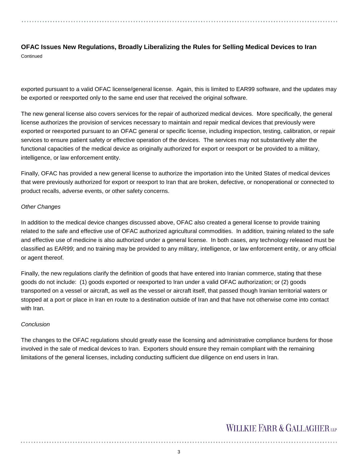# **OFAC Issues New Regulations, Broadly Liberalizing the Rules for Selling Medical Devices to Iran**

**Continued** 

exported pursuant to a valid OFAC license/general license. Again, this is limited to EAR99 software, and the updates may be exported or reexported only to the same end user that received the original software.

The new general license also covers services for the repair of authorized medical devices. More specifically, the general license authorizes the provision of services necessary to maintain and repair medical devices that previously were exported or reexported pursuant to an OFAC general or specific license, including inspection, testing, calibration, or repair services to ensure patient safety or effective operation of the devices. The services may not substantively alter the functional capacities of the medical device as originally authorized for export or reexport or be provided to a military, intelligence, or law enforcement entity.

Finally, OFAC has provided a new general license to authorize the importation into the United States of medical devices that were previously authorized for export or reexport to Iran that are broken, defective, or nonoperational or connected to product recalls, adverse events, or other safety concerns.

### *Other Changes*

In addition to the medical device changes discussed above, OFAC also created a general license to provide training related to the safe and effective use of OFAC authorized agricultural commodities. In addition, training related to the safe and effective use of medicine is also authorized under a general license. In both cases, any technology released must be classified as EAR99; and no training may be provided to any military, intelligence, or law enforcement entity, or any official or agent thereof.

Finally, the new regulations clarify the definition of goods that have entered into Iranian commerce, stating that these goods do not include: (1) goods exported or reexported to Iran under a valid OFAC authorization; or (2) goods transported on a vessel or aircraft, as well as the vessel or aircraft itself, that passed though Iranian territorial waters or stopped at a port or place in Iran en route to a destination outside of Iran and that have not otherwise come into contact with Iran.

### *Conclusion*

The changes to the OFAC regulations should greatly ease the licensing and administrative compliance burdens for those involved in the sale of medical devices to Iran. Exporters should ensure they remain compliant with the remaining limitations of the general licenses, including conducting sufficient due diligence on end users in Iran.

## WILLKIE FARR & GALLAGHER